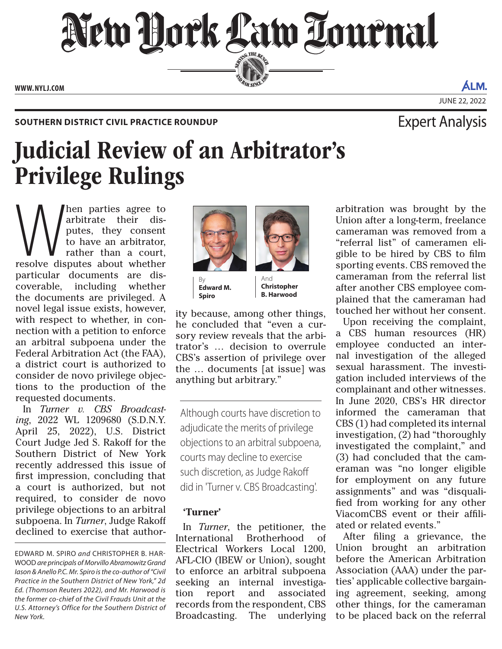New York Law Lournal SERVICE THE BENCH **ED BAR SINCE 188** 

**WWW. NYLJ.COM**

## SOUTHERN DISTRICT CIVIL PRACTICE ROUNDUP **EXPERT AND SOUTHERN DISTRICT CIVIL PRACTICE ROUNDUP**

# Judicial Review of an Arbitrator's Privilege Rulings

When parties agree to arbitrate their disputes, they consent to have an arbitrator, rather than a court, resolve disputes about whether arbitrate their disputes, they consent to have an arbitrator, rather than a court, particular documents are discoverable, including whether the documents are privileged. A novel legal issue exists, however, with respect to whether, in connection with a petition to enforce an arbitral subpoena under the Federal Arbitration Act (the FAA), a district court is authorized to consider de novo privilege objections to the production of the requested documents.

In *Turner v. CBS Broadcasting*, 2022 WL 1209680 (S.D.N.Y. April 25, 2022), U.S. District Court Judge Jed S. Rakoff for the Southern District of New York recently addressed this issue of first impression, concluding that a court is authorized, but not required, to consider de novo privilege objections to an arbitral subpoena. In *Turner*, Judge Rakoff declined to exercise that author-



By **Edward M. Spiro**

And **Christopher B. Harwood**

ity because, among other things, he concluded that "even a cursory review reveals that the arbitrator's … decision to overrule CBS's assertion of privilege over the … documents [at issue] was anything but arbitrary."

Although courts have discretion to adjudicate the merits of privilege objections to an arbitral subpoena, courts may decline to exercise such discretion, as Judge Rakoff did in 'Turner v. CBS Broadcasting'.

## **'Turner'**

In *Turner*, the petitioner, the International Brotherhood of Electrical Workers Local 1200, AFL-CIO (IBEW or Union), sought to enforce an arbitral subpoena seeking an internal investigation report and associated records from the respondent, CBS Broadcasting. The underlying arbitration was brought by the Union after a long-term, freelance cameraman was removed from a "referral list" of cameramen eligible to be hired by CBS to film sporting events. CBS removed the cameraman from the referral list after another CBS employee complained that the cameraman had touched her without her consent.

Upon receiving the complaint, a CBS human resources (HR) employee conducted an internal investigation of the alleged sexual harassment. The investigation included interviews of the complainant and other witnesses. In June 2020, CBS's HR director informed the cameraman that CBS (1) had completed its internal investigation, (2) had "thoroughly investigated the complaint," and (3) had concluded that the cameraman was "no longer eligible for employment on any future assignments" and was "disqualified from working for any other ViacomCBS event or their affiliated or related events."

After filing a grievance, the Union brought an arbitration before the American Arbitration Association (AAA) under the parties' applicable collective bargaining agreement, seeking, among other things, for the cameraman to be placed back on the referral

JUNE 22, 2022

ALM.

EDWARD M. SPIRO *and* CHRISTOPHER B. HAR-WOOD *are principals of Morvillo Abramowitz Grand Iason & Anello P.C. Mr. Spiro is the co-author of "Civil Practice in the Southern District of New York," 2d Ed. (Thomson Reuters 2022), and Mr. Harwood is the former co-chief of the Civil Frauds Unit at the U.S. Attorney's Office for the Southern District of New York.*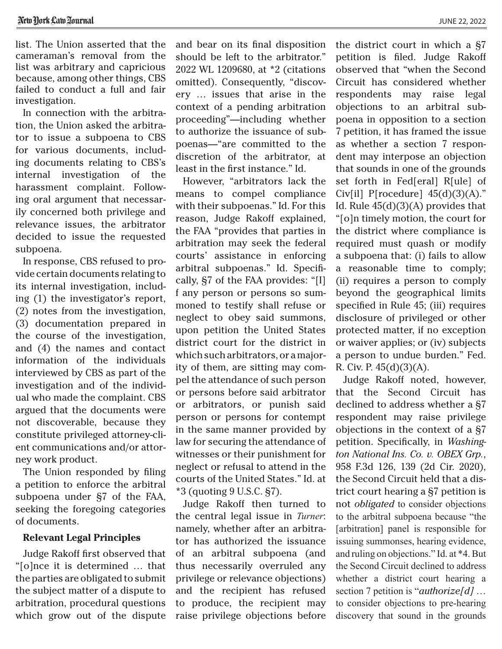JUNE 22, 2022

list. The Union asserted that the cameraman's removal from the list was arbitrary and capricious because, among other things, CBS failed to conduct a full and fair investigation.

In connection with the arbitration, the Union asked the arbitrator to issue a subpoena to CBS for various documents, including documents relating to CBS's internal investigation of the harassment complaint. Following oral argument that necessarily concerned both privilege and relevance issues, the arbitrator decided to issue the requested subpoena.

In response, CBS refused to provide certain documents relating to its internal investigation, including (1) the investigator's report, (2) notes from the investigation, (3) documentation prepared in the course of the investigation, and (4) the names and contact information of the individuals interviewed by CBS as part of the investigation and of the individual who made the complaint. CBS argued that the documents were not discoverable, because they constitute privileged attorney-client communications and/or attorney work product.

The Union responded by filing a petition to enforce the arbitral subpoena under §7 of the FAA, seeking the foregoing categories of documents.

#### **Relevant Legal Principles**

Judge Rakoff first observed that "[o]nce it is determined … that the parties are obligated to submit the subject matter of a dispute to arbitration, procedural questions which grow out of the dispute and bear on its final disposition should be left to the arbitrator." 2022 WL 1209680, at \*2 (citations omitted). Consequently, "discovery … issues that arise in the context of a pending arbitration proceeding"—including whether to authorize the issuance of subpoenas—"are committed to the discretion of the arbitrator, at least in the first instance." Id.

However, "arbitrators lack the means to compel compliance with their subpoenas." Id. For this reason, Judge Rakoff explained, the FAA "provides that parties in arbitration may seek the federal courts' assistance in enforcing arbitral subpoenas." Id. Specifically, §7 of the FAA provides: "[I] f any person or persons so summoned to testify shall refuse or neglect to obey said summons, upon petition the United States district court for the district in which such arbitrators, or a majority of them, are sitting may compel the attendance of such person or persons before said arbitrator or arbitrators, or punish said person or persons for contempt in the same manner provided by law for securing the attendance of witnesses or their punishment for neglect or refusal to attend in the courts of the United States." Id. at \*3 (quoting 9 U.S.C. §7).

Judge Rakoff then turned to the central legal issue in *Turner*: namely, whether after an arbitrator has authorized the issuance of an arbitral subpoena (and thus necessarily overruled any privilege or relevance objections) and the recipient has refused to produce, the recipient may raise privilege objections before the district court in which a §7 petition is filed. Judge Rakoff observed that "when the Second Circuit has considered whether respondents may raise legal objections to an arbitral subpoena in opposition to a section 7 petition, it has framed the issue as whether a section 7 respondent may interpose an objection that sounds in one of the grounds set forth in Fed[eral] R[ule] of Civ[il] P[rocedure]  $45(d)(3)(A)$ ." Id. Rule  $45(d)(3)(A)$  provides that "[o]n timely motion, the court for the district where compliance is required must quash or modify a subpoena that: (i) fails to allow a reasonable time to comply; (ii) requires a person to comply beyond the geographical limits specified in Rule 45; (iii) requires disclosure of privileged or other protected matter, if no exception or waiver applies; or (iv) subjects a person to undue burden." Fed. R. Civ. P. 45(d)(3)(A).

Judge Rakoff noted, however, that the Second Circuit has declined to address whether a §7 respondent may raise privilege objections in the context of a §7 petition. Specifically, in *Washington National Ins. Co. v. OBEX Grp.*, 958 F.3d 126, 139 (2d Cir. 2020), the Second Circuit held that a district court hearing a §7 petition is not *obligated* to consider objections to the arbitral subpoena because "the [arbitration] panel is responsible for issuing summonses, hearing evidence, and ruling on objections." Id. at \*4. But the Second Circuit declined to address whether a district court hearing a section 7 petition is "*authorize[d]* … to consider objections to pre-hearing discovery that sound in the grounds